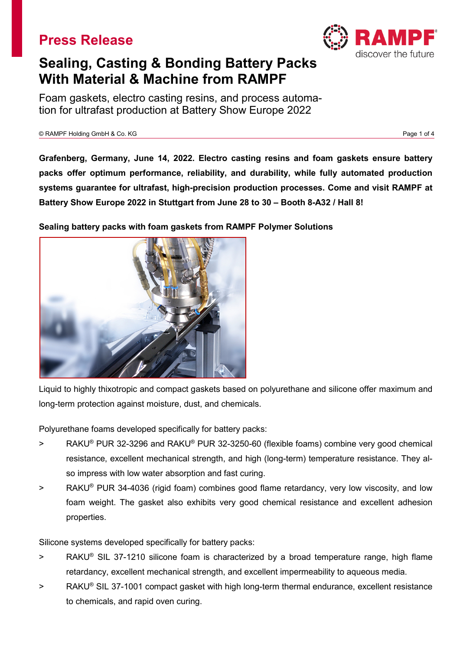

# **Sealing, Casting & Bonding Battery Packs With Material & Machine from RAMPF**

Foam gaskets, electro casting resins, and process automation for ultrafast production at Battery Show Europe 2022

© RAMPF Holding GmbH & Co. KG Page 1 of 4

**Grafenberg, Germany, June 14, 2022. Electro casting resins and foam gaskets ensure battery packs offer optimum performance, reliability, and durability, while fully automated production systems guarantee for ultrafast, high-precision production processes. Come and visit RAMPF at Battery Show Europe 2022 in Stuttgart from June 28 to 30 – Booth 8-A32 / Hall 8!**

**Sealing battery packs with foam gaskets from RAMPF Polymer Solutions**



Liquid to highly thixotropic and compact gaskets based on polyurethane and silicone offer maximum and long-term protection against moisture, dust, and chemicals.

Polyurethane foams developed specifically for battery packs:

- > RAKU® PUR 32-3296 and RAKU® PUR 32-3250-60 (flexible foams) combine very good chemical resistance, excellent mechanical strength, and high (long-term) temperature resistance. They also impress with low water absorption and fast curing.
- > RAKU® PUR 34-4036 (rigid foam) combines good flame retardancy, very low viscosity, and low foam weight. The gasket also exhibits very good chemical resistance and excellent adhesion properties.

Silicone systems developed specifically for battery packs:

- > RAKU® SIL 37-1210 silicone foam is characterized by a broad temperature range, high flame retardancy, excellent mechanical strength, and excellent impermeability to aqueous media.
- > RAKU® SIL 37-1001 compact gasket with high long-term thermal endurance, excellent resistance to chemicals, and rapid oven curing.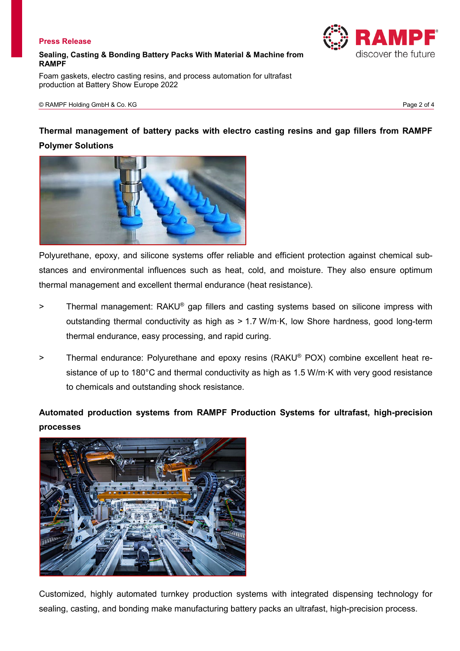#### **Sealing, Casting & Bonding Battery Packs With Material & Machine from RAMPF**

Foam gaskets, electro casting resins, and process automation for ultrafast production at Battery Show Europe 2022

## **Thermal management of battery packs with electro casting resins and gap fillers from RAMPF Polymer Solutions**



Polyurethane, epoxy, and silicone systems offer reliable and efficient protection against chemical substances and environmental influences such as heat, cold, and moisture. They also ensure optimum thermal management and excellent thermal endurance (heat resistance).

- > Thermal management: RAKU® gap fillers and casting systems based on silicone impress with outstanding thermal conductivity as high as > 1.7 W/m·K, low Shore hardness, good long-term thermal endurance, easy processing, and rapid curing.
- > Thermal endurance: Polyurethane and epoxy resins (RAKU® POX) combine excellent heat resistance of up to 180°C and thermal conductivity as high as 1.5 W/m·K with very good resistance to chemicals and outstanding shock resistance.

# **Automated production systems from RAMPF Production Systems for ultrafast, high-precision processes**



Customized, highly automated turnkey production systems with integrated dispensing technology for sealing, casting, and bonding make manufacturing battery packs an ultrafast, high-precision process.

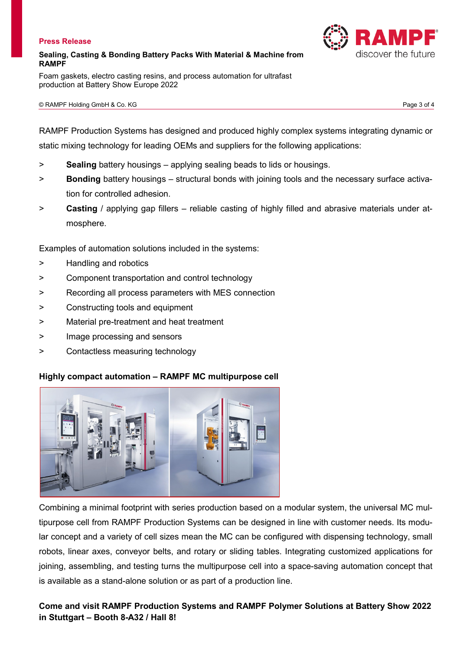#### **Sealing, Casting & Bonding Battery Packs With Material & Machine from RAMPF**

Foam gaskets, electro casting resins, and process automation for ultrafast production at Battery Show Europe 2022

RAMPF Production Systems has designed and produced highly complex systems integrating dynamic or static mixing technology for leading OEMs and suppliers for the following applications:

- > **Sealing** battery housings applying sealing beads to lids or housings.
- > **Bonding** battery housings structural bonds with joining tools and the necessary surface activation for controlled adhesion.
- > **Casting** / applying gap fillers reliable casting of highly filled and abrasive materials under atmosphere.

Examples of automation solutions included in the systems:

- > Handling and robotics
- > Component transportation and control technology
- > Recording all process parameters with MES connection
- > Constructing tools and equipment
- > Material pre-treatment and heat treatment
- > Image processing and sensors
- > Contactless measuring technology

### **Highly compact automation – RAMPF MC multipurpose cell**



Combining a minimal footprint with series production based on a modular system, the universal MC multipurpose cell from RAMPF Production Systems can be designed in line with customer needs. Its modular concept and a variety of cell sizes mean the MC can be configured with dispensing technology, small robots, linear axes, conveyor belts, and rotary or sliding tables. Integrating customized applications for joining, assembling, and testing turns the multipurpose cell into a space-saving automation concept that is available as a stand-alone solution or as part of a production line.

### **Come and visit RAMPF Production Systems and RAMPF Polymer Solutions at Battery Show 2022 in Stuttgart – Booth 8-A32 / Hall 8!**